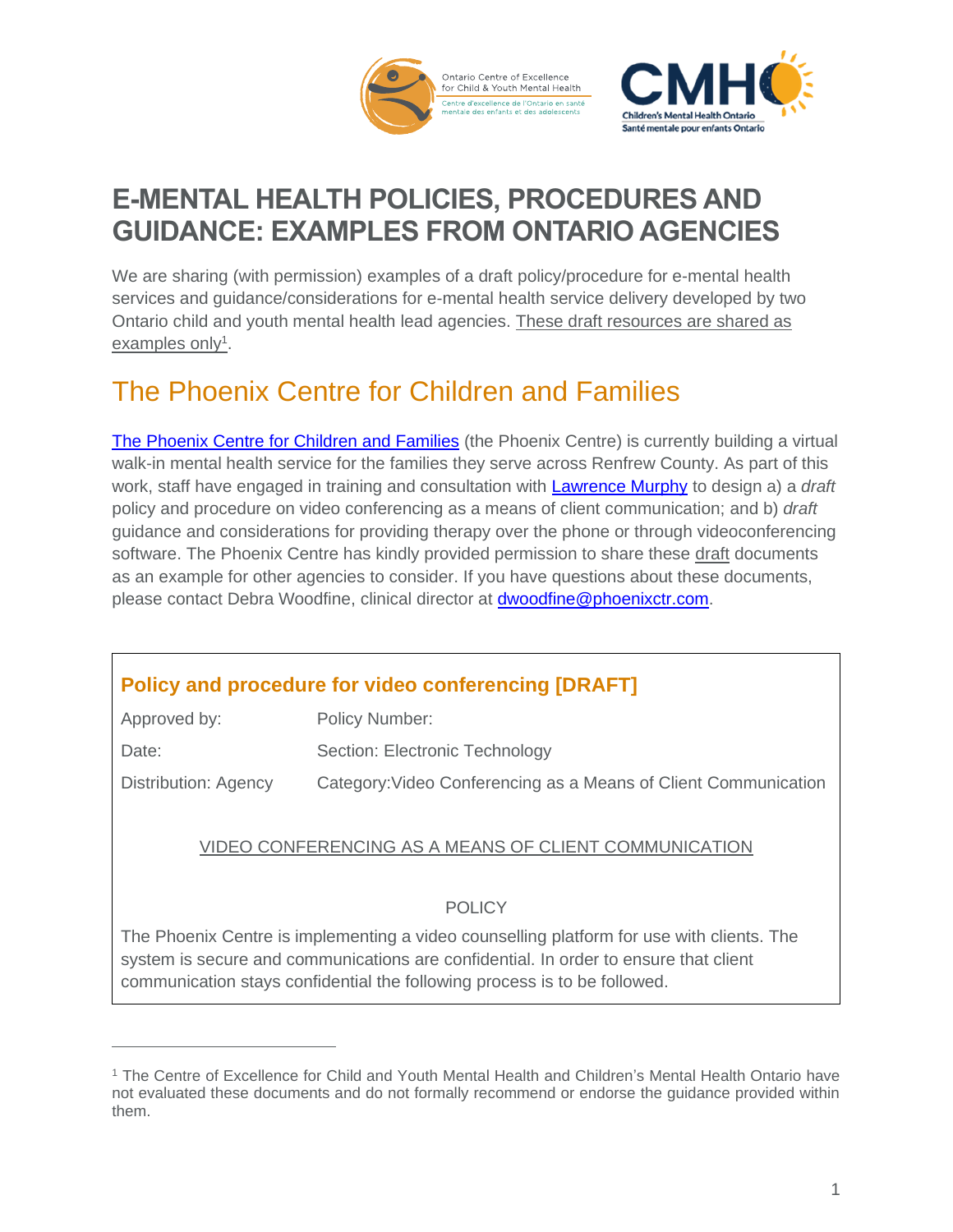



# **E-MENTAL HEALTH POLICIES, PROCEDURES AND GUIDANCE: EXAMPLES FROM ONTARIO AGENCIES**

We are sharing (with permission) examples of a draft policy/procedure for e-mental health services and guidance/considerations for e-mental health service delivery developed by two Ontario child and youth mental health lead agencies. These draft resources are shared as examples only<sup>1</sup>.

### The Phoenix Centre for Children and Families

[The Phoenix Centre for Children and Families](https://phoenixctr.com/) (the Phoenix Centre) is currently building a virtual walk-in mental health service for the families they serve across Renfrew County. As part of this work, staff have engaged in training and consultation with [Lawrence Murphy](http://therapyonline.ca/) to design a) a *draft* policy and procedure on video conferencing as a means of client communication; and b) *draft* guidance and considerations for providing therapy over the phone or through videoconferencing software. The Phoenix Centre has kindly provided permission to share these draft documents as an example for other agencies to consider. If you have questions about these documents, please contact Debra Woodfine, clinical director at [dwoodfine@phoenixctr.com.](mailto:dwoodfine@phoenixctr.com)

|  |  | <b>Policy and procedure for video conferencing [DRAFT]</b> |  |
|--|--|------------------------------------------------------------|--|
|  |  |                                                            |  |

| Approved by:         | Policy Number:                                                  |
|----------------------|-----------------------------------------------------------------|
| Date:                | Section: Electronic Technology                                  |
| Distribution: Agency | Category: Video Conferencing as a Means of Client Communication |

#### VIDEO CONFERENCING AS A MEANS OF CLIENT COMMUNICATION

#### POLICY

The Phoenix Centre is implementing a video counselling platform for use with clients. The system is secure and communications are confidential. In order to ensure that client communication stays confidential the following process is to be followed.

<sup>1</sup> The Centre of Excellence for Child and Youth Mental Health and Children's Mental Health Ontario have not evaluated these documents and do not formally recommend or endorse the guidance provided within them.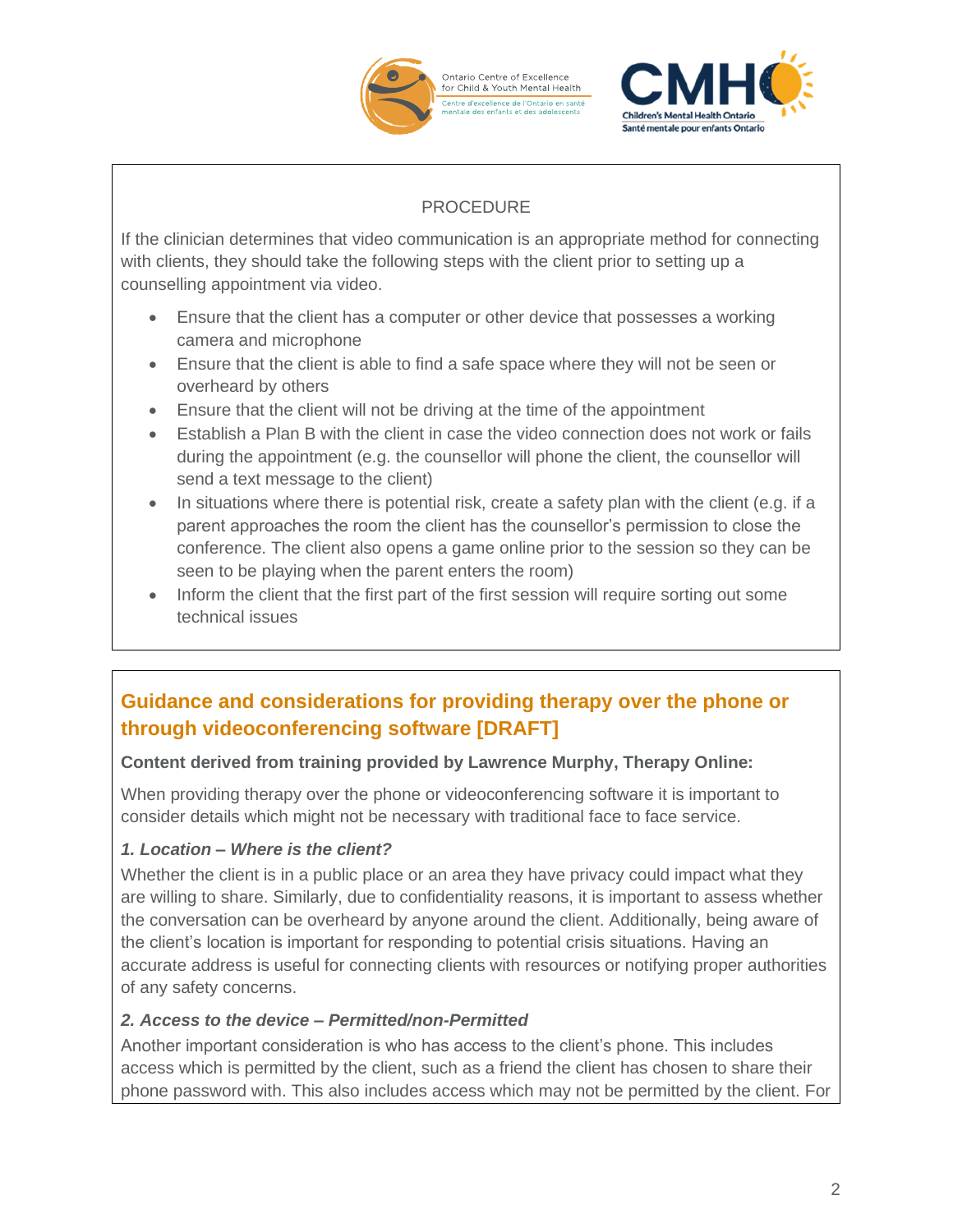

.<br>Santé mentale pour enfants Ontari

#### PROCEDURE

If the clinician determines that video communication is an appropriate method for connecting with clients, they should take the following steps with the client prior to setting up a counselling appointment via video.

- Ensure that the client has a computer or other device that possesses a working camera and microphone
- Ensure that the client is able to find a safe space where they will not be seen or overheard by others
- Ensure that the client will not be driving at the time of the appointment
- Establish a Plan B with the client in case the video connection does not work or fails during the appointment (e.g. the counsellor will phone the client, the counsellor will send a text message to the client)
- In situations where there is potential risk, create a safety plan with the client (e.g. if a parent approaches the room the client has the counsellor's permission to close the conference. The client also opens a game online prior to the session so they can be seen to be playing when the parent enters the room)
- Inform the client that the first part of the first session will require sorting out some technical issues

### **Guidance and considerations for providing therapy over the phone or through videoconferencing software [DRAFT]**

#### **Content derived from training provided by Lawrence Murphy, Therapy Online:**

When providing therapy over the phone or videoconferencing software it is important to consider details which might not be necessary with traditional face to face service.

#### *1. Location – Where is the client?*

Whether the client is in a public place or an area they have privacy could impact what they are willing to share. Similarly, due to confidentiality reasons, it is important to assess whether the conversation can be overheard by anyone around the client. Additionally, being aware of the client's location is important for responding to potential crisis situations. Having an accurate address is useful for connecting clients with resources or notifying proper authorities of any safety concerns.

#### *2. Access to the device – Permitted/non-Permitted*

Another important consideration is who has access to the client's phone. This includes access which is permitted by the client, such as a friend the client has chosen to share their phone password with. This also includes access which may not be permitted by the client. For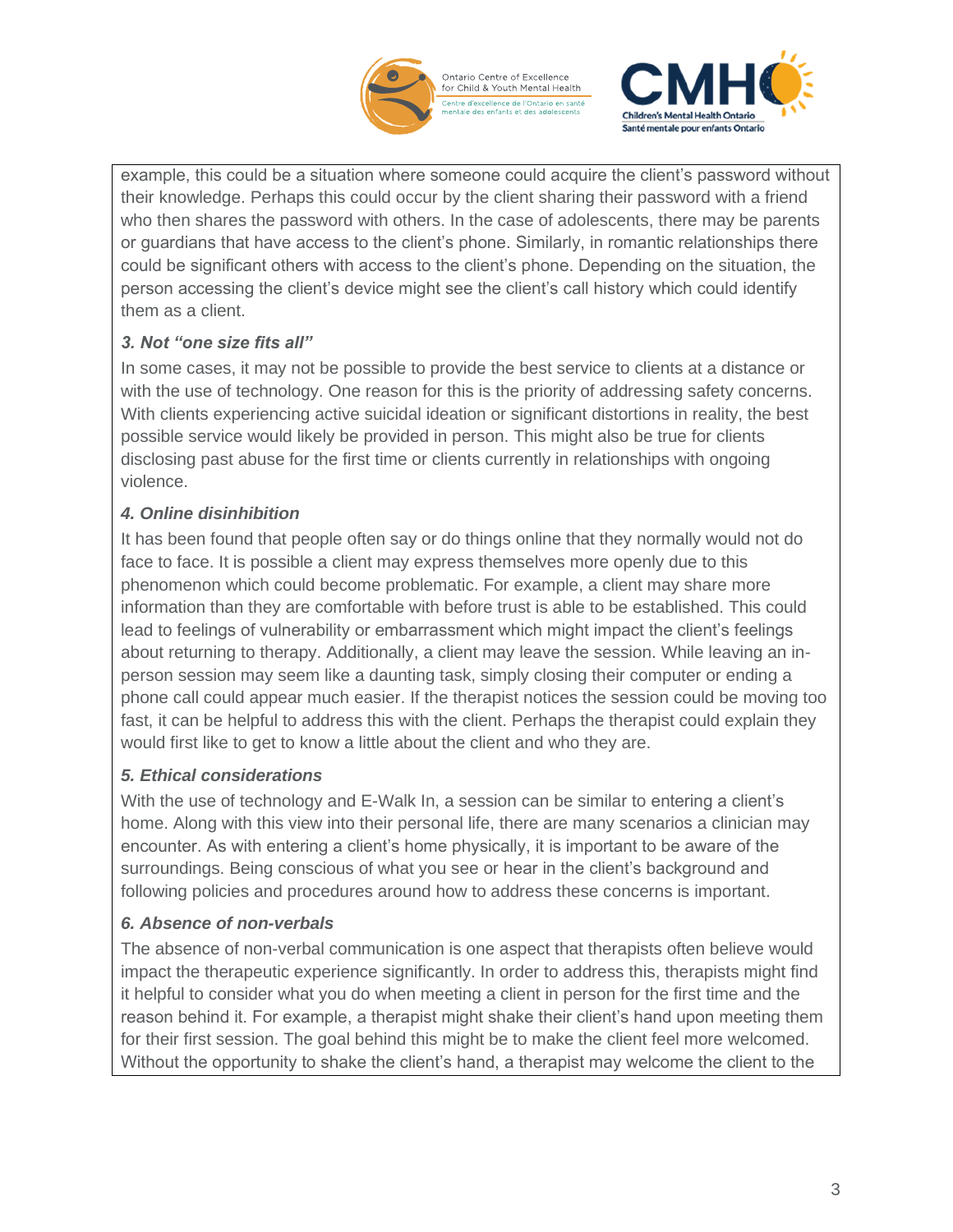

Ontario Centre of Excellence<br>for Child & Youth Mental Health .<br>Centre d'excellence de l'Ontario en santé<br>mentale des enfants et des adolescents



example, this could be a situation where someone could acquire the client's password without their knowledge. Perhaps this could occur by the client sharing their password with a friend who then shares the password with others. In the case of adolescents, there may be parents or guardians that have access to the client's phone. Similarly, in romantic relationships there could be significant others with access to the client's phone. Depending on the situation, the person accessing the client's device might see the client's call history which could identify them as a client.

#### *3. Not "one size fits all"*

In some cases, it may not be possible to provide the best service to clients at a distance or with the use of technology. One reason for this is the priority of addressing safety concerns. With clients experiencing active suicidal ideation or significant distortions in reality, the best possible service would likely be provided in person. This might also be true for clients disclosing past abuse for the first time or clients currently in relationships with ongoing violence.

#### *4. Online disinhibition*

It has been found that people often say or do things online that they normally would not do face to face. It is possible a client may express themselves more openly due to this phenomenon which could become problematic. For example, a client may share more information than they are comfortable with before trust is able to be established. This could lead to feelings of vulnerability or embarrassment which might impact the client's feelings about returning to therapy. Additionally, a client may leave the session. While leaving an inperson session may seem like a daunting task, simply closing their computer or ending a phone call could appear much easier. If the therapist notices the session could be moving too fast, it can be helpful to address this with the client. Perhaps the therapist could explain they would first like to get to know a little about the client and who they are.

#### *5. Ethical considerations*

With the use of technology and E-Walk In, a session can be similar to entering a client's home. Along with this view into their personal life, there are many scenarios a clinician may encounter. As with entering a client's home physically, it is important to be aware of the surroundings. Being conscious of what you see or hear in the client's background and following policies and procedures around how to address these concerns is important.

#### *6. Absence of non-verbals*

The absence of non-verbal communication is one aspect that therapists often believe would impact the therapeutic experience significantly. In order to address this, therapists might find it helpful to consider what you do when meeting a client in person for the first time and the reason behind it. For example, a therapist might shake their client's hand upon meeting them for their first session. The goal behind this might be to make the client feel more welcomed. Without the opportunity to shake the client's hand, a therapist may welcome the client to the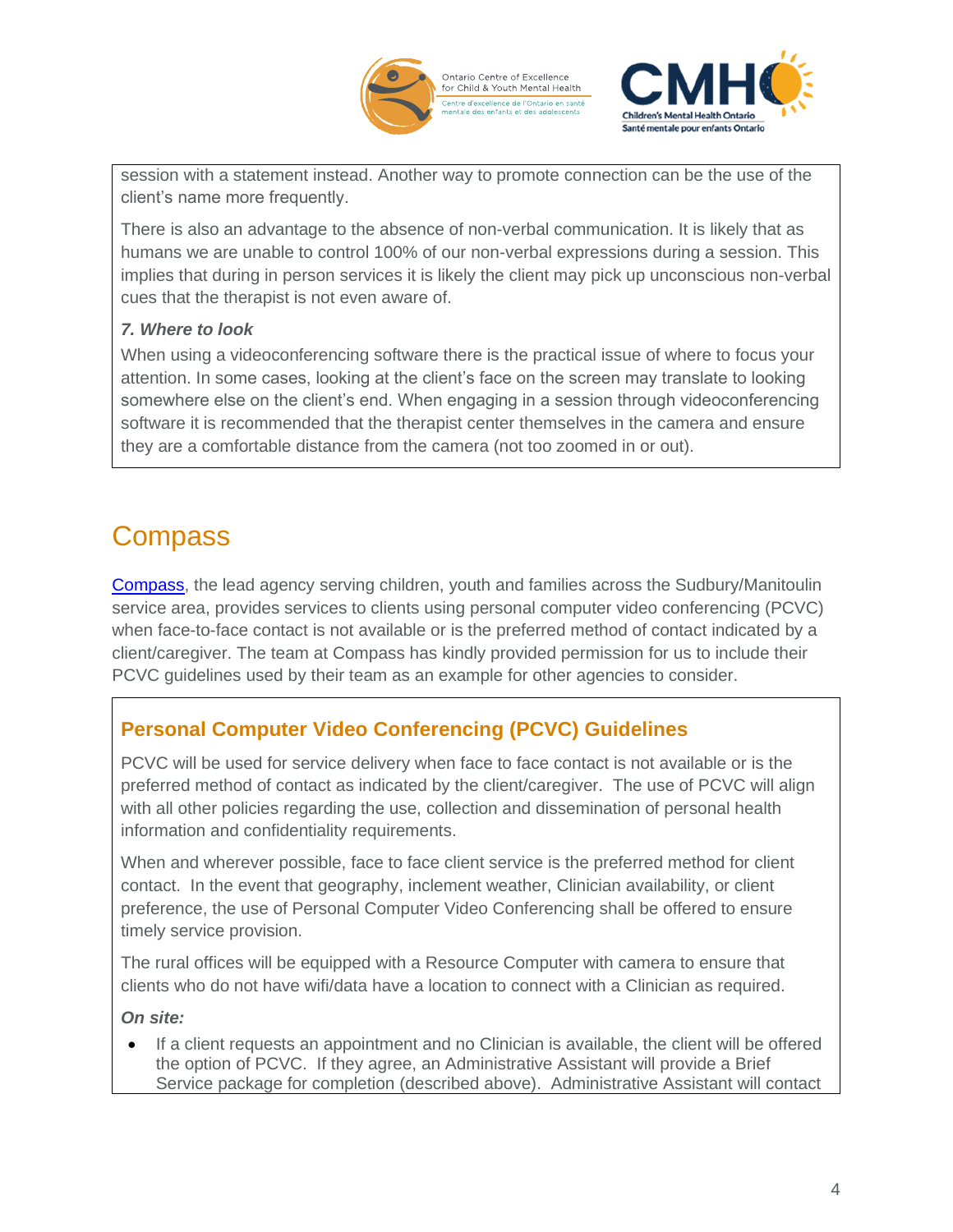



session with a statement instead. Another way to promote connection can be the use of the client's name more frequently.

There is also an advantage to the absence of non-verbal communication. It is likely that as humans we are unable to control 100% of our non-verbal expressions during a session. This implies that during in person services it is likely the client may pick up unconscious non-verbal cues that the therapist is not even aware of.

#### *7. Where to look*

When using a videoconferencing software there is the practical issue of where to focus your attention. In some cases, looking at the client's face on the screen may translate to looking somewhere else on the client's end. When engaging in a session through videoconferencing software it is recommended that the therapist center themselves in the camera and ensure they are a comfortable distance from the camera (not too zoomed in or out).

# **Compass**

[Compass,](https://compassne.ca/) the lead agency serving children, youth and families across the Sudbury/Manitoulin service area, provides services to clients using personal computer video conferencing (PCVC) when face-to-face contact is not available or is the preferred method of contact indicated by a client/caregiver. The team at Compass has kindly provided permission for us to include their PCVC guidelines used by their team as an example for other agencies to consider.

### **Personal Computer Video Conferencing (PCVC) Guidelines**

PCVC will be used for service delivery when face to face contact is not available or is the preferred method of contact as indicated by the client/caregiver. The use of PCVC will align with all other policies regarding the use, collection and dissemination of personal health information and confidentiality requirements.

When and wherever possible, face to face client service is the preferred method for client contact. In the event that geography, inclement weather, Clinician availability, or client preference, the use of Personal Computer Video Conferencing shall be offered to ensure timely service provision.

The rural offices will be equipped with a Resource Computer with camera to ensure that clients who do not have wifi/data have a location to connect with a Clinician as required.

#### *On site:*

• If a client requests an appointment and no Clinician is available, the client will be offered the option of PCVC. If they agree, an Administrative Assistant will provide a Brief Service package for completion (described above). Administrative Assistant will contact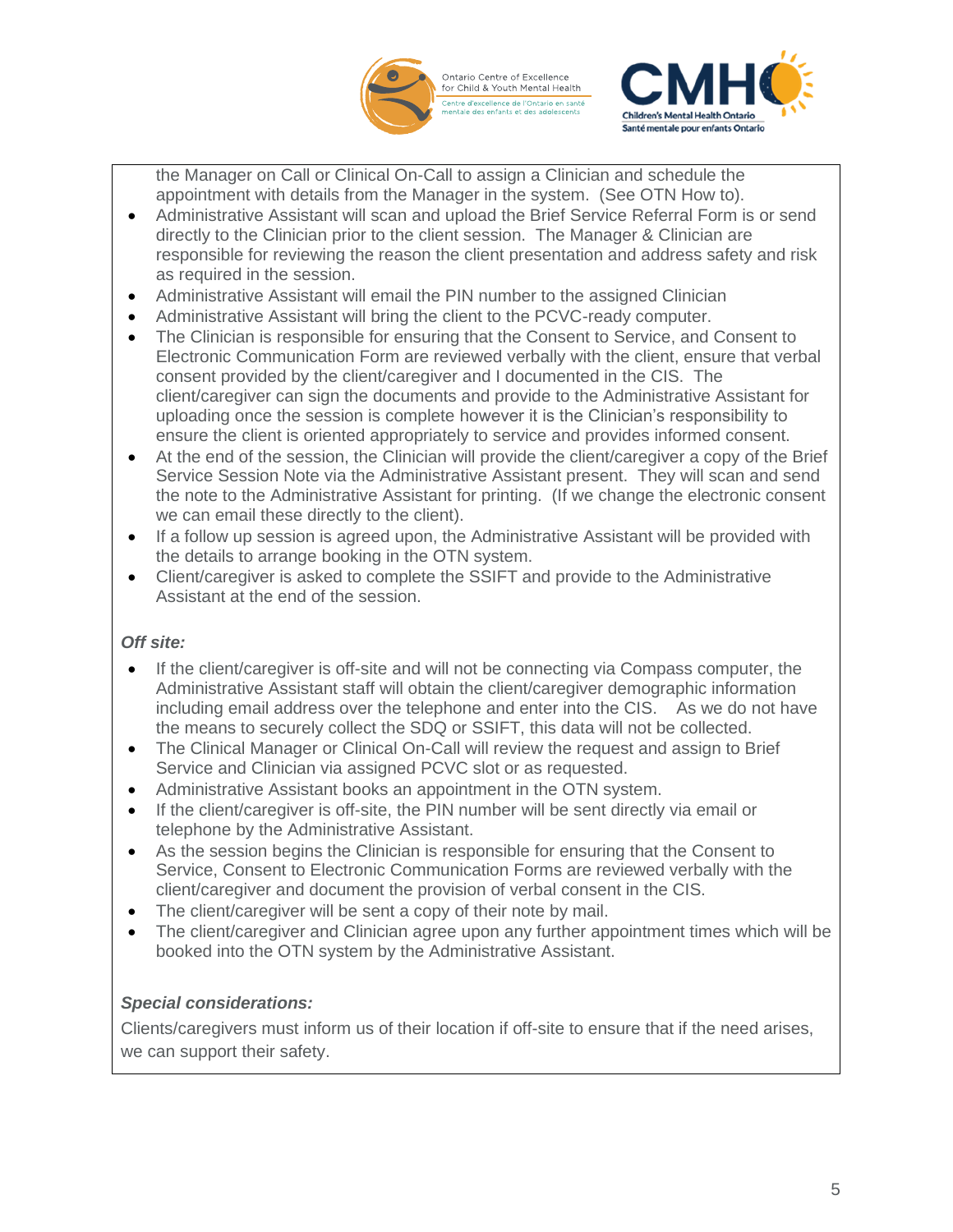

Ontario Centre of Excellence<br>for Child & Youth Mental Health .<br>Centre d'excellence de l'Ontario en sante<br>mentale des enfants et des adolescents



the Manager on Call or Clinical On-Call to assign a Clinician and schedule the appointment with details from the Manager in the system. (See OTN How to).

- Administrative Assistant will scan and upload the Brief Service Referral Form is or send directly to the Clinician prior to the client session. The Manager & Clinician are responsible for reviewing the reason the client presentation and address safety and risk as required in the session.
- Administrative Assistant will email the PIN number to the assigned Clinician
- Administrative Assistant will bring the client to the PCVC-ready computer.
- The Clinician is responsible for ensuring that the Consent to Service, and Consent to Electronic Communication Form are reviewed verbally with the client, ensure that verbal consent provided by the client/caregiver and I documented in the CIS. The client/caregiver can sign the documents and provide to the Administrative Assistant for uploading once the session is complete however it is the Clinician's responsibility to ensure the client is oriented appropriately to service and provides informed consent.
- At the end of the session, the Clinician will provide the client/caregiver a copy of the Brief Service Session Note via the Administrative Assistant present. They will scan and send the note to the Administrative Assistant for printing. (If we change the electronic consent we can email these directly to the client).
- If a follow up session is agreed upon, the Administrative Assistant will be provided with the details to arrange booking in the OTN system.
- Client/caregiver is asked to complete the SSIFT and provide to the Administrative Assistant at the end of the session.

#### *Off site:*

- If the client/caregiver is off-site and will not be connecting via Compass computer, the Administrative Assistant staff will obtain the client/caregiver demographic information including email address over the telephone and enter into the CIS. As we do not have the means to securely collect the SDQ or SSIFT, this data will not be collected.
- The Clinical Manager or Clinical On-Call will review the request and assign to Brief Service and Clinician via assigned PCVC slot or as requested.
- Administrative Assistant books an appointment in the OTN system.
- If the client/caregiver is off-site, the PIN number will be sent directly via email or telephone by the Administrative Assistant.
- As the session begins the Clinician is responsible for ensuring that the Consent to Service, Consent to Electronic Communication Forms are reviewed verbally with the client/caregiver and document the provision of verbal consent in the CIS.
- The client/caregiver will be sent a copy of their note by mail.
- The client/caregiver and Clinician agree upon any further appointment times which will be booked into the OTN system by the Administrative Assistant.

#### *Special considerations:*

Clients/caregivers must inform us of their location if off-site to ensure that if the need arises, we can support their safety.